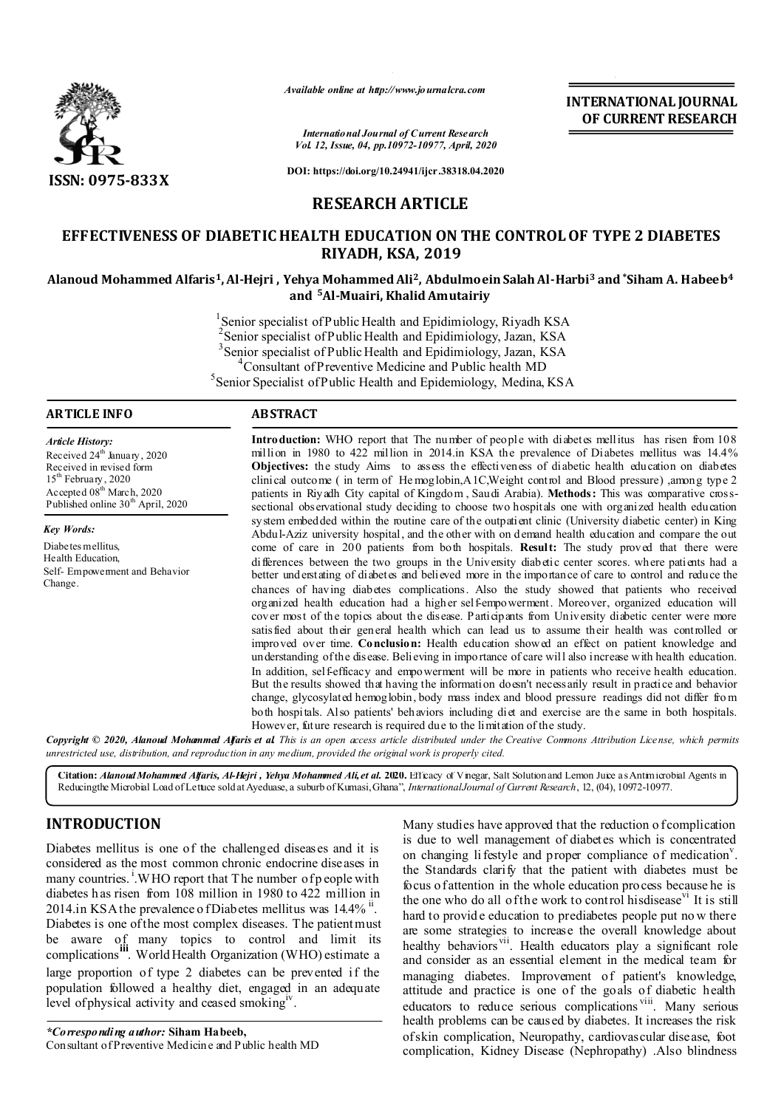

*Available online at http://www.journalcra.com*

*International Journal of Current Research Vol. 12, Issue, 04, pp.10972-10977, April, 2020* **INTERNATIONAL JOURNAL OF CURRENT RESEARCH**

**DOI: https://doi.org/10.24941/ijcr.38318.04.2020**

# **RESEARCH ARTICLE**

# **EFFECTIVENESS OF DIABETIC HEALTH EDUCATION ON THE CONTROL OF TYPE 2 DIABETES RIYADH, KSA, 2019**

## **Alanoud Mohammed Alfaris1, Al-Hejri , Yehya Mohammed Ali2, Abdulmoein Salah Al-Harbi3 and \*Siham A. Habeeb4 and 5Al-Muairi, Khalid Amutairiy**

<sup>1</sup>Senior specialist of Public Health and Epidimiology, Riyadh KSA <sup>2</sup> Senior specialist of Public Health and Epidimiology, Jazan, KSA <sup>3</sup> Senior specialist of Public Health and Epidimiology, Jazan, KSA  $^{4}$ Consultant of Brayontive Medicine and Bublic health MD Consultant of Preventive Medicine and Public health MD <sup>5</sup> Senior Specialist of Public Health and Epidemiology, Medina, KSA

## **ARTICLE INFO ABSTRACT**

*Article History:* Received 24<sup>th</sup> January, 2020 Received in revised form 15<sup>th</sup> February, 2020 Accepted 08<sup>th</sup> March, 2020 Published online 30<sup>th</sup> April, 2020

*Key Words:* Diabetes mellitus, Health Education, Self- Empowerment and Behavior Change.

Introduction: WHO report that The number of people with diabetes mellitus has risen from 108 million in 1980 to 422 million in 2014.in KSA the prevalence of Diabetes mellitus was 14.4% **Objectives:** the study Aims to assess the effectiveness of diabetic health education on diabetes clinical outcome ( in term of He moglobin,A1C,Weight control and Blood pressure) ,among type 2 patients in Riyadh City capital of Kingdom , Saudi Arabia). **Methods:** This was comparative crosssectional observational study deciding to choose two hospitals one with organized health education system embedded within the routine care of the outpatient clinic (University diabetic center) in King Abdul-Aziz university hospital, and the other with on demand health education and compare the out come of care in 200 patients from both hospitals. Result: The study proved that there were differences between the two groups in the University diabetic center scores. where patients had a better understating of diabetes and believed more in the importance of care to control and reduce the chances of having diabetes complications. Also the study showed that patients who received organized health education had a higher self-empowerment. Moreover, organized education will cover most of the topics about the disease. Participants from University diabetic center were more satisfied about their general health which can lead us to assume their health was controlled or improved over time. **Conclusion:** Health education showed an effect on patient knowledge and understanding of the disease. Believing in importance of care will also increase with health education. In addition, self-efficacy and empowerment will be more in patients who receive health education. But the results showed that having the information doesn't necessarily result in practice and behavior change, glycosylated hemoglobin, body mass index and blood pressure readings did not differ fro m both hospitals. Also patients' behaviors including diet and exercise are the same in both hospitals. However, future research is required due to the limitation of the study.

Copyright © 2020, Alanoud Mohammed Afaris et al This is an open access article distributed under the Creative Commons Attribution License, which permits *unrestricted use, distribution, and reproduction in any medium, provided the original work is properly cited.*

Citation: *Alanoud Mohammed Alfaris, Al-Hejri , Yehya Mohammed Ali, et al. 2020. Efficacy of Vinegar, Salt Solution and Lemon Juice as Antimicrobial Agents in* Reducingthe Microbial Load of Lettuce sold at Ayeduase, a suburb of Kumasi, Ghana", *InternationalJournal of Current Research*, 12, (04), 10972-10977.

# **INTRODUCTION**

Diabetes mellitus is one of the challenged diseases and it is considered as the most common chronic endocrine diseases in many countries. <sup>i</sup>.WHO report that The number of p eople with diabetes h as risen from 108 million in 1980 to 422 million in 2014.in KSA the prevalence o fDiabetes mellitus was  $14.4\%$ <sup>ii</sup>. Diabetes is one of the most complex diseases. The patient must be aware of many topics to control and limit its complications **iii** World Health Organization (WHO) estimate a large proportion of type 2 diabetes can be prevented if the population followed a healthy diet, engaged in an adequate level of physical activity and ceased smoking<sup>iv</sup>.

Many studies have approved that the reduction o f complication is due to well management of diabetes which is concentrated on changing lifestyle and proper compliance of medication<sup>v</sup>. the Standards clarify that the patient with diabetes must be focus of attention in the whole education process because he is the one who do all of the work to control hisdisease<sup>vi</sup> It is still hard to provide education to prediabetes people put no w there are some strategies to increase the overall knowledge about healthy behaviors<sup>vii</sup>. Health educators play a significant role and consider as an essential element in the medical team for managing diabetes. Improvement of patient's knowledge, attitude and practice is one of the goals of diabetic health educators to reduce serious complications viii. Many serious health problems can be caused by diabetes. It increases the risk of skin complication, Neuropathy, cardiovascular disease, foot complication, Kidney Disease (Nephropathy) .Also blindness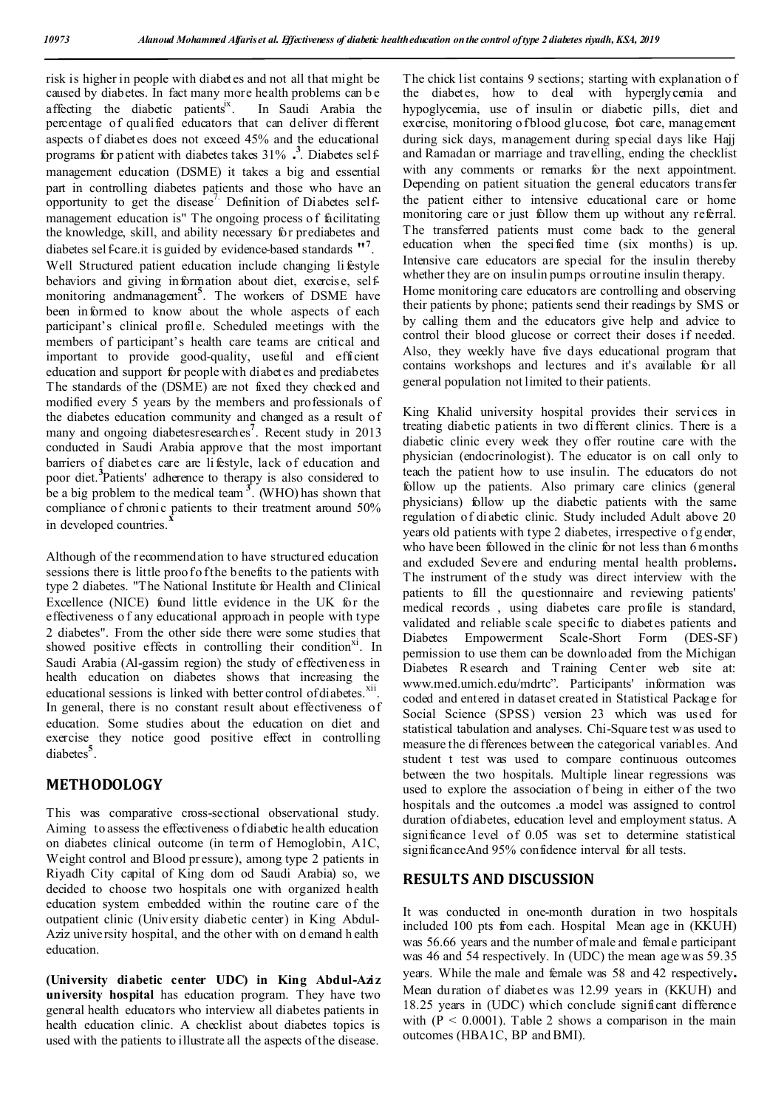risk is higher in people with diabetes and not all that might be caused by diabetes. In fact many more health problems can b e affecting the diabetic patients<sup>ix</sup>. In Saudi Arabia the percentage of qualified educators that can deliver different aspects of diabetes does not exceed 45% and the educational programs for patient with diabetes takes 31%<sup>3</sup>. Diabetes selfmanagement education (DSME) it takes a big and essential part in controlling diabetes patients and those who have an opportunity to get the disease<sup>7</sup>. Definition of Diabetes selfmanagement education is" The ongoing process of facilitating the knowledge, skill, and ability necessary for prediabetes and diabetes sel f-care.it is guided by evidence-based standards "7. Well Structured patient education include changing li festyle behaviors and giving information about diet, exercise, selfmonitoring andmanagement**<sup>5</sup>** . The workers of DSME have been informed to know about the whole aspects of each participant's clinical profile. Scheduled meetings with the members of participant's health care teams are critical and important to provide good-quality, useful and efficient education and support for people with diabetes and prediabetes The standards of the (DSME) are not fixed they checked and modified every 5 years by the members and professionals of the diabetes education community and changed as a result of many and ongoing diabetesresearches**<sup>7</sup>** . Recent study in 2013 conducted in Saudi Arabia approve that the most important barriers of diabetes care are li festyle, lack of education and poor diet.**<sup>3</sup>** Patients' adherence to therapy is also considered to be a big problem to the medical team **<sup>3</sup>** . (WHO) has shown that compliance of chronic patients to their treatment around 50% in developed countries.<sup>7</sup>

Although of the recommendation to have structured education sessions there is little proof of the benefits to the patients with type 2 diabetes. "The National Institute for Health and Clinical Excellence (NICE) found little evidence in the UK for the effectiveness o f any educational approach in people with type 2 diabetes". From the other side there were some studies that showed positive effects in controlling their condition<sup>xi</sup>. In Saudi Arabia (Al-gassim region) the study of effectiveness in health education on diabetes shows that increasing the educational sessions is linked with better control of diabetes.<sup>xii</sup>. In general, there is no constant result about effectiveness of education. Some studies about the education on diet and exercise they notice good positive effect in controlling diabetes**<sup>5</sup>** .

# **METHODOLOGY**

This was comparative cross-sectional observational study. Aiming to assess the effectiveness of diabetic health education on diabetes clinical outcome (in term of Hemoglobin, A1C, Weight control and Blood pressure), among type 2 patients in Riyadh City capital of King dom od Saudi Arabia) so, we decided to choose two hospitals one with organized health education system embedded within the routine care of the outpatient clinic (University diabetic center) in King Abdul-Aziz university hospital, and the other with on d emand h ealth education.

**(University diabetic center UDC) in King Abdul-Aziz university hospital** has education program. They have two general health educators who interview all diabetes patients in health education clinic. A checklist about diabetes topics is used with the patients to illustrate all the aspects of the disease.

The chick list contains 9 sections; starting with explanation o f the diabetes, how to deal with hyperglycemia and hypoglycemia, use of insulin or diabetic pills, diet and exercise, monitoring o fblood glucose, foot care, management during sick days, management during special days like Hajj and Ramadan or marriage and travelling, ending the checklist with any comments or remarks for the next appointment. Depending on patient situation the general educators transfer the patient either to intensive educational care or home monitoring care or just follow them up without any referral. The transferred patients must come back to the general education when the specified time (six months) is up. Intensive care educators are special for the insulin thereby whether they are on insulin pumps or routine insulin therapy. Home monitoring care educators are controlling and observing their patients by phone; patients send their readings by SMS or by calling them and the educators give help and advice to control their blood glucose or correct their doses if needed. Also, they weekly have five days educational program that contains workshops and lectures and it's available for all general population not limited to their patients.

King Khalid university hospital provides their services in treating diabetic patients in two different clinics. There is a diabetic clinic every week they offer routine care with the physician (endocrinologist). The educator is on call only to teach the patient how to use insulin. The educators do not follow up the patients. Also primary care clinics (general physicians) follow up the diabetic patients with the same regulation of diabetic clinic. Study included Adult above 20 years old patients with type 2 diabetes, irrespective of g ender, who have been followed in the clinic for not less than 6 months and excluded Severe and enduring mental health problems**.** The instrument of the study was direct interview with the patients to fill the questionnaire and reviewing patients' medical records , using diabetes care profile is standard, validated and reliable scale specific to diabetes patients and Diabetes Empowerment Scale-Short Form (DES-SF) permission to use them can be downloaded from the Michigan Diabetes R esearch and Training Center web site at: www.med.umich.edu/mdrtc". Participants' information was coded and entered in dataset created in Statistical Package for Social Science (SPSS) version 23 which was used for statistical tabulation and analyses. Chi-Square test was used to measure the di fferences between the categorical variables. And student t test was used to compare continuous outcomes between the two hospitals. Multiple linear regressions was used to explore the association of being in either of the two hospitals and the outcomes .a model was assigned to control duration of diabetes, education level and employment status. A significance level of 0.05 was set to determine statistical significanceAnd 95% confidence interval for all tests.

# **RESULTS AND DISCUSSION**

It was conducted in one-month duration in two hospitals included 100 pts from each. Hospital Mean age in (KKUH) was 56.66 years and the number of male and female participant was 46 and 54 respectively. In (UDC) the mean age w as 59.35 years. While the male and female was 58 and 42 respectively**.** Mean duration of diabetes was 12.99 years in (KKUH) and 18.25 years in (UDC) which conclude significant difference with  $(P < 0.0001)$ . Table 2 shows a comparison in the main outcomes (HBA1C, BP and BMI).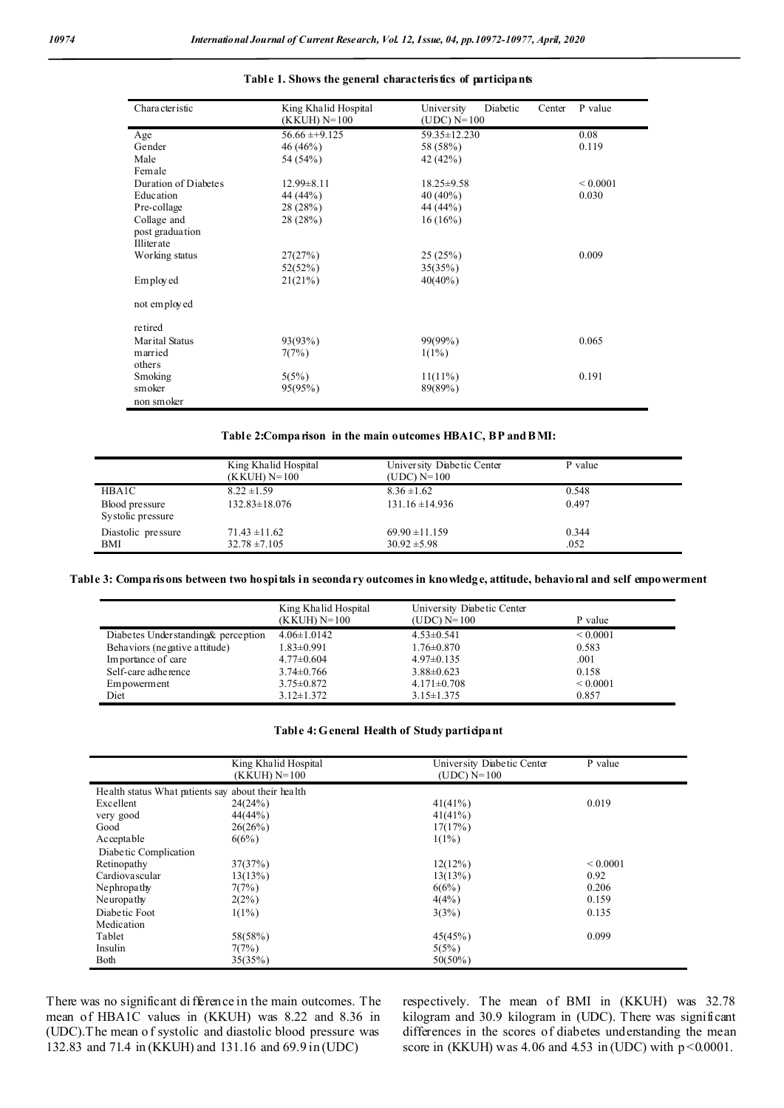| Character istic      | King Khalid Hospital | University<br>Diabetic<br>Center | P value       |
|----------------------|----------------------|----------------------------------|---------------|
|                      | (KKUH) N=100         | (UDC) $N=100$                    |               |
| Age                  | $56.66 \pm 9.125$    | 59.35 ± 12.230                   | 0.08          |
| Gender               | 46 (46%)             | 58 (58%)                         | 0.119         |
| Male                 | 54 (54%)             | 42 (42%)                         |               |
| Female               |                      |                                  |               |
| Duration of Diabetes | $12.99 \pm 8.11$     | $18.25 \pm 9.58$                 | ${}_{0.0001}$ |
| Education            | 44 (44%)             | $40(40\%)$                       | 0.030         |
| Pre-collage          | 28 (28%)             | 44 (44%)                         |               |
| Collage and          | 28(28%)              | $16(16\%)$                       |               |
| post graduation      |                      |                                  |               |
| Illiterate           |                      |                                  |               |
| Working status       | 27(27%)              | 25(25%)                          | 0.009         |
|                      | 52(52%)              | 35(35%)                          |               |
| Employed             | 21(21%)              | $40(40\%)$                       |               |
| not employed         |                      |                                  |               |
| retired              |                      |                                  |               |
| Marital Status       | 93(93%)              | 99(99%)                          | 0.065         |
| married              | 7(7%)                | $1(1\%)$                         |               |
| others               |                      |                                  |               |
| Smoking              | 5(5%)                | $11(11\%)$                       | 0.191         |
| smoker               | 95(95%)              | 89(89%)                          |               |
| non smoker           |                      |                                  |               |

## **Table 1. Shows the general characteristics of participants**

#### **Table 2:Comparison in the main outcomes HBA1C, BP and BMI:**

|                                     | King Khalid Hospital<br>(KKUH) N=100 | University Diabetic Center<br>(UDC) $N=100$ | P value |  |
|-------------------------------------|--------------------------------------|---------------------------------------------|---------|--|
| HBA1C                               | $8.22 \pm 1.59$                      | $8.36 \pm 1.62$                             | 0.548   |  |
| Blood pressure<br>Systolic pressure | $132.83 \pm 18.076$                  | $131.16 \pm 14.936$                         | 0.497   |  |
| Diastolic pressure                  | $71.43 \pm 11.62$                    | $69.90 \pm 11.159$                          | 0.344   |  |
| BMI                                 | $32.78 \pm 7.105$                    | $30.92 \pm 5.98$                            | .052    |  |

#### **Table 3: Comparisons between two hospitals in secondary outcomes in knowledge, attitude, behavioral and self empowerment**

|                                    | King Khalid Hospital<br>(KKUH) N=100 | University Diabetic Center<br>(UDC) $N=100$ | P value       |
|------------------------------------|--------------------------------------|---------------------------------------------|---------------|
| Diabetes Understanding& perception | $4.06 \pm 1.0142$                    | $4.53 \pm 0.541$                            | ${}_{0.0001}$ |
| Behaviors (ne gative a ttitude)    | $1.83 \pm 0.991$                     | $1.76 \pm 0.870$                            | 0.583         |
| Importance of care                 | $4.77 \pm 0.604$                     | $4.97 \pm 0.135$                            | .001          |
| Self-care adherence                | $3.74 \pm 0.766$                     | $3.88 \pm 0.623$                            | 0.158         |
| Empowerment                        | $3.75 \pm 0.872$                     | $4.171 \pm 0.708$                           | ${}_{0.0001}$ |
| Diet                               | $3.12 \pm 1.372$                     | $3.15 \pm 1.375$                            | 0.857         |

### **Table 4: General Health of Study participant**

|                                                    | King Khalid Hospital<br>$(KKUH) N=100$ | University Diabetic Center<br>$(UDC)$ N=100 | P value       |
|----------------------------------------------------|----------------------------------------|---------------------------------------------|---------------|
| Health status What patients say about their health |                                        |                                             |               |
| Excellent                                          | 24(24%)                                | 41(41%)                                     | 0.019         |
| very good                                          | 44(44%)                                | 41(41%)                                     |               |
| Good                                               | 26(26%)                                | 17(17%)                                     |               |
| Acceptable                                         | 6(6%)                                  | $1(1\%)$                                    |               |
| Diabetic Complication                              |                                        |                                             |               |
| Retinopathy                                        | 37(37%)                                | 12(12%)                                     | ${}_{0.0001}$ |
| Cardiovascular                                     | 13(13%)                                | 13(13%)                                     | 0.92          |
| Nephropathy                                        | 7(7%)                                  | 6(6%)                                       | 0.206         |
| Neuropathy                                         | $2(2\%)$                               | 4(4%)                                       | 0.159         |
| Diabetic Foot                                      | $1(1\%)$                               | 3(3%)                                       | 0.135         |
| Medication                                         |                                        |                                             |               |
| Tablet                                             | 58(58%)                                | 45(45%)                                     | 0.099         |
| Insulin                                            | 7(7%)                                  | 5(5%)                                       |               |
| Both                                               | 35(35%)                                | $50(50\%)$                                  |               |

There was no significant di fference in the main outcomes. The mean of HBA1C values in (KKUH) was 8.22 and 8.36 in (UDC).The mean o f systolic and diastolic blood pressure was 132.83 and 71.4 in (KKUH) and 131.16 and 69.9 in (UDC)

respectively. The mean of BMI in (KKUH) was 32.78 kilogram and 30.9 kilogram in (UDC). There was significant differences in the scores of diabetes understanding the mean score in (KKUH) was 4.06 and 4.53 in (UDC) with  $p < 0.0001$ .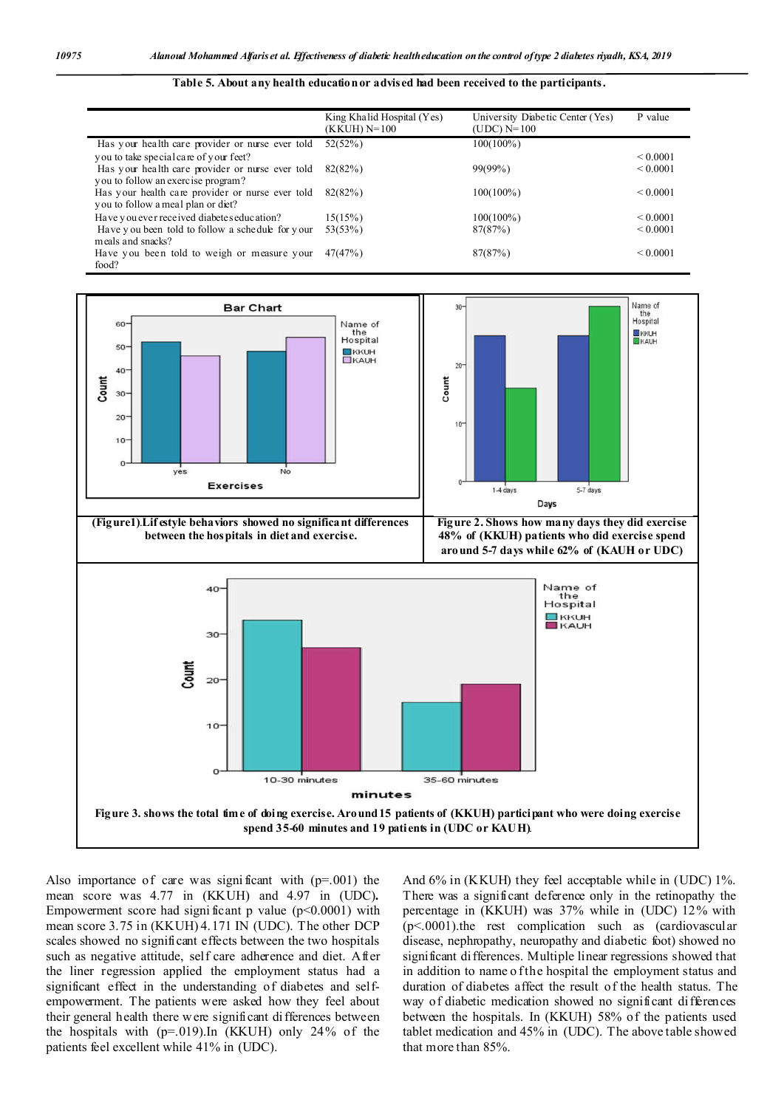#### **Table 5. About any health education or advised had been received to the participants.**

|                                                                                        | King Khalid Hospital (Yes)<br>(KKUH) N=100 | University Diabetic Center (Yes)<br>(UDC) $N=100$ | P value       |
|----------------------------------------------------------------------------------------|--------------------------------------------|---------------------------------------------------|---------------|
| Has your health care provider or nurse ever told                                       | 52(52%)                                    | 100(100%)                                         |               |
| you to take special care of your feet?                                                 |                                            |                                                   | ${}_{0.0001}$ |
| Has your health care provider or nurse ever told<br>you to follow an exercise program? | 82(82%)                                    | $99(99\%)$                                        | ${}_{0.0001}$ |
| Has your health care provider or nurse ever told<br>you to follow a meal plan or diet? | 82(82%)                                    | $100(100\%)$                                      | ${}_{0.0001}$ |
| Have you ever received diabetes education?                                             | 15(15%)                                    | $100(100\%)$                                      | < 0.0001      |
| Have you been told to follow a schedule for your<br>meals and snacks?                  | 53(53%)                                    | 87(87%)                                           | < 0.0001      |
| Have you been told to weigh or measure your<br>food?                                   | 47(47%)                                    | 87(87%)                                           | ${}_{0.0001}$ |



Also importance of care was significant with  $(p=0.001)$  the mean score was 4.77 in (KKUH) and 4.97 in (UDC)**.**  Empowerment score had significant p value  $(p<0.0001)$  with mean score 3.75 in (KKUH) 4.171 IN (UDC). The other DCP scales showed no significant effects between the two hospitals such as negative attitude, self care adherence and diet. After the liner regression applied the employment status had a significant effect in the understanding of diabetes and selfempowerment. The patients were asked how they feel about their general health there w ere significant differences between the hospitals with (p=.019).In (KKUH) only 24% of the patients feel excellent while 41% in (UDC).

And 6% in (KKUH) they feel acceptable while in (UDC) 1%. There was a significant deference only in the retinopathy the percentage in (KKUH) was 37% while in (UDC) 12% with (p<.0001).the rest complication such as (cardiovascular disease, nephropathy, neuropathy and diabetic foot) showed no significant differences. Multiple linear regressions showed that in addition to name o f the hospital the employment status and duration of diabetes affect the result of the health status. The way of diabetic medication showed no significant differences between the hospitals. In (KKUH) 58% of the patients used tablet medication and 45% in (UDC). The above table showed that more than 85%.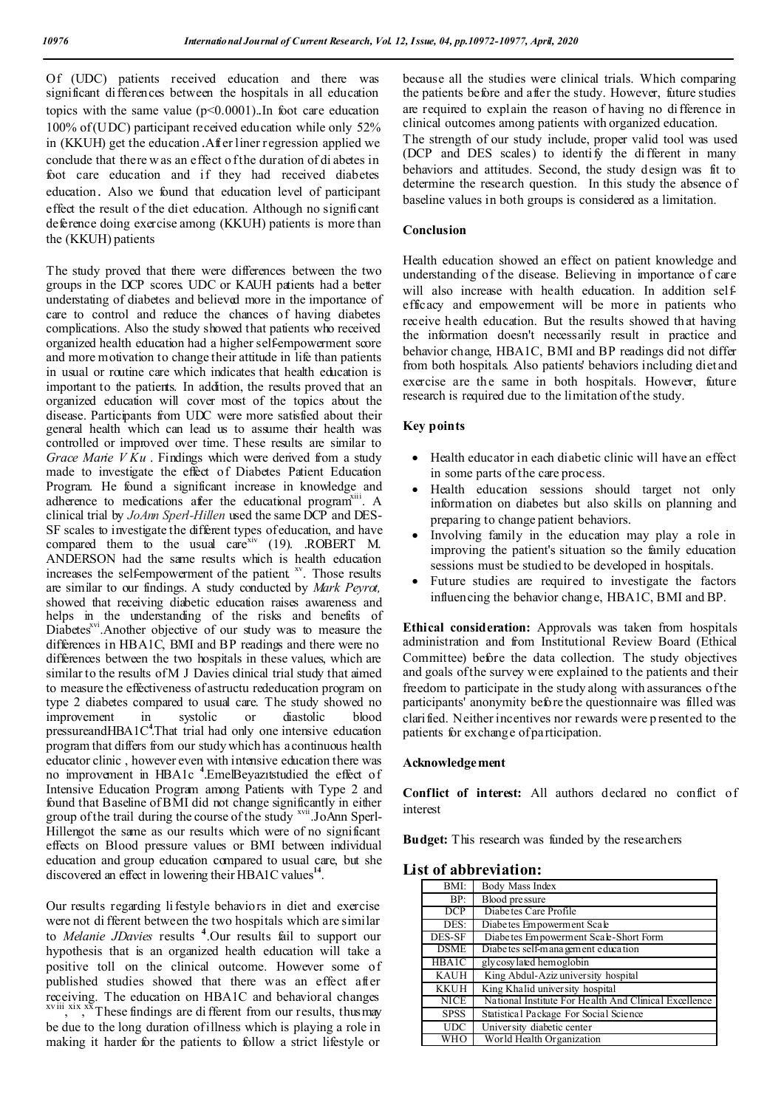Of (UDC) patients received education and there was significant differences between the hospitals in all education topics with the same value  $(p<0.0001)$ . In foot care education 100% of (UDC) participant received education while only 52% in (KKUH) get the education .After liner regression applied we conclude that there w as an effect o f the duration of di abetes in foot care education and if they had received diabetes education. Also we found that education level of participant effect the result of the diet education. Although no significant deference doing exercise among (KKUH) patients is more than the (KKUH) patients

The study proved that there were differences between the two groups in the DCP scores. UDC or KAUH patients had a better understating of diabetes and believed more in the importance of care to control and reduce the chances of having diabetes complications. Also the study showed that patients who received organized health education had a higher self-empowerment score and more motivation to change their attitude in life than patients in usual or routine care which indicates that health education is important to the patients. In addition, the results proved that an organized education will cover most of the topics about the disease. Participants from UDC were more satisfied about their general health which can lead us to assume their health was controlled or improved over time. These results are similar to *Grace Marie V Ku* . Findings which were derived from a study made to investigate the effect of Diabetes Patient Education Program. He found a significant increase in knowledge and adherence to medications after the educational program<sup>xiii</sup>. A clinical trial by *JoAnn Sperl-Hillen* used the same DCP and DES-SF scales to investigate the different types of education, and have compared them to the usual care<sup>xiv</sup> (19). .ROBERT M. ANDERSON had the same results which is health education increases the self-empowerment of the patient. <sup>xv</sup>. Those results are similar to our findings. A study conducted by *Mark Peyrot,*  showed that receiving diabetic education raises awareness and helps in the understanding of the risks and benefits of Diabetes<sup>xvi</sup>.Another objective of our study was to measure the differences in HBA1C, BMI and BP readings and there were no differences between the two hospitals in these values, which are similar to the results of M J Davies clinical trial study that aimed to measure the effectiveness of astructu rededucation program on type 2 diabetes compared to usual care. The study showed no improvement in systolic or diastolic blood pressureandHBA1C<sup>4</sup>.That trial had only one intensive education program that differs from our study which has a continuous health educator clinic , however even with intensive education there was no improvement in HBA1c **<sup>4</sup>** .EmelBeyazıtstudied the effect of Intensive Education Program among Patients with Type 2 and found that Baseline of BMI did not change significantly in either group of the trail during the course of the study xvii.JoAnn Sperl-Hillengot the same as our results which were of no significant effects on Blood pressure values or BMI between individual education and group education compared to usual care, but she discovered an effect in lowering their HBA1C values<sup>14</sup>.

Our results regarding li festyle behaviors in diet and exercise were not di fferent between the two hospitals which are similar to *Melanie JDavies* results **<sup>4</sup>** .Our results fail to support our hypothesis that is an organized health education will take a positive toll on the clinical outcome. However some of published studies showed that there was an effect after receiving. The education on HBA1C and behavioral changes <br>xviii, xix, xxThese findings are different from our results, thus may be due to the long duration of illness which is playing a role in making it harder for the patients to follow a strict lifestyle or

because all the studies were clinical trials. Which comparing the patients before and after the study. However, future studies are required to explain the reason of having no difference in clinical outcomes among patients with organized education.

The strength of our study include, proper valid tool was used (DCP and DES scales) to identify the different in many behaviors and attitudes. Second, the study design was fit to determine the research question. In this study the absence of baseline values in both groups is considered as a limitation.

## **Conclusion**

Health education showed an effect on patient knowledge and understanding of the disease. Believing in importance of care will also increase with health education. In addition selfefficacy and empowerment will be more in patients who receive health education. But the results showed that having the information doesn't necessarily result in practice and behavior change, HBA1C, BMI and BP readings did not differ from both hospitals. Also patients' behaviors including diet and exercise are the same in both hospitals. However, future research is required due to the limitation of the study.

## **Key points**

- Health educator in each diabetic clinic will have an effect in some parts of the care process.
- Health education sessions should target not only information on diabetes but also skills on planning and preparing to change patient behaviors.
- Involving family in the education may play a role in improving the patient's situation so the family education sessions must be studied to be developed in hospitals.
- Future studies are required to investigate the factors influencing the behavior change, HBA1C, BMI and BP.

**Ethical consideration:** Approvals was taken from hospitals administration and from Institutional Review Board (Ethical Committee) before the data collection. The study objectives and goals of the survey w ere explained to the patients and their freedom to participate in the study along with assurances of the participants' anonymity before the questionnaire was filled was clarified. Neither incentives nor rewards were p resented to the patients for exchange of participation.

### **Acknowledgement**

**Conflict of interest:** All authors declared no conflict of interest

**Budget:** This research was funded by the researchers

## **List of abbreviation:**

| BMI:                    | Body Mass Index                                       |
|-------------------------|-------------------------------------------------------|
| BP:                     | Blood pressure                                        |
| DCP                     | Diabetes Care Profile                                 |
| DES:                    | Diabe tes Empowerment Scale                           |
| DES-SF                  | Diabetes Empowerment Scale-Short Form                 |
| <b>DSME</b>             | Diabe tes self-management education                   |
| <b>HBA1C</b>            | glycosylated hemoglobin                               |
| <b>KAUH</b>             | King Abdul-Aziz university hospital                   |
| <b>KKUH</b>             | King Khalid university hospital                       |
| <b>NICE</b>             | National Institute For Health And Clinical Excellence |
| <b>SPSS</b>             | Statistical Package For Social Science                |
| <b>UDC</b>              | University diabetic center                            |
| $\overline{\text{WHO}}$ | World Health Organization                             |